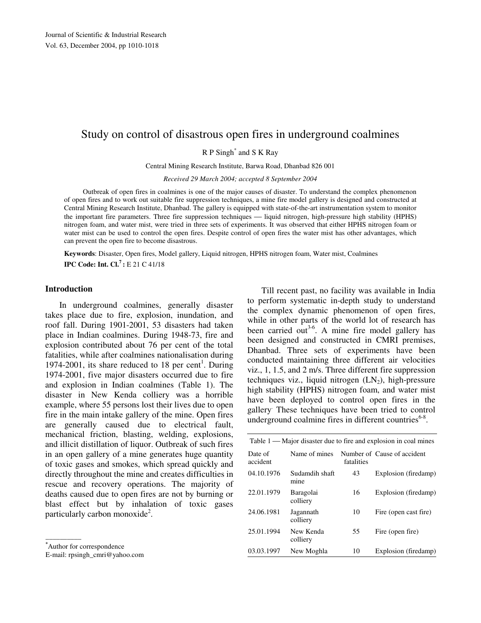# Study on control of disastrous open fires in underground coalmines

R P Singh\* and S K Ray

Central Mining Research Institute, Barwa Road, Dhanbad 826 001

*Received 29 March 2004; accepted 8 September 2004* 

Outbreak of open fires in coalmines is one of the major causes of disaster. To understand the complex phenomenon of open fires and to work out suitable fire suppression techniques, a mine fire model gallery is designed and constructed at Central Mining Research Institute, Dhanbad. The gallery is equipped with state-of-the-art instrumentation system to monitor the important fire parameters. Three fire suppression techniques - liquid nitrogen, high-pressure high stability (HPHS) nitrogen foam, and water mist, were tried in three sets of experiments. It was observed that either HPHS nitrogen foam or water mist can be used to control the open fires. Despite control of open fires the water mist has other advantages, which can prevent the open fire to become disastrous.

**Keywords**: Disaster, Open fires, Model gallery, Liquid nitrogen, HPHS nitrogen foam, Water mist, Coalmines **IPC Code: Int. Cl.<sup>7</sup>:** E 21 C 41/18

# **Introduction**

In underground coalmines, generally disaster takes place due to fire, explosion, inundation, and roof fall. During 1901-2001, 53 disasters had taken place in Indian coalmines. During 1948-73, fire and explosion contributed about 76 per cent of the total fatalities, while after coalmines nationalisation during 1974-2001, its share reduced to 18 per cent<sup>1</sup>. During 1974-2001, five major disasters occurred due to fire and explosion in Indian coalmines (Table 1). The disaster in New Kenda colliery was a horrible example, where 55 persons lost their lives due to open fire in the main intake gallery of the mine. Open fires are generally caused due to electrical fault, mechanical friction, blasting, welding, explosions, and illicit distillation of liquor. Outbreak of such fires in an open gallery of a mine generates huge quantity of toxic gases and smokes, which spread quickly and directly throughout the mine and creates difficulties in rescue and recovery operations. The majority of deaths caused due to open fires are not by burning or blast effect but by inhalation of toxic gases particularly carbon monoxide<sup>2</sup>.

 $\overline{\phantom{a}}$ 

Till recent past, no facility was available in India to perform systematic in-depth study to understand the complex dynamic phenomenon of open fires, while in other parts of the world lot of research has been carried out<sup>3-6</sup>. A mine fire model gallery has been designed and constructed in CMRI premises, Dhanbad. Three sets of experiments have been conducted maintaining three different air velocities viz., 1, 1.5, and 2 m/s. Three different fire suppression techniques viz., liquid nitrogen  $(LN_2)$ , high-pressure high stability (HPHS) nitrogen foam, and water mist have been deployed to control open fires in the gallery. These techniques have been tried to control underground coalmine fires in different countries<sup>6-8</sup>.

| Table 1 — Major disaster due to fire and explosion in coal mines |                        |            |                             |  |  |  |  |
|------------------------------------------------------------------|------------------------|------------|-----------------------------|--|--|--|--|
| Date of<br>accident                                              | Name of mines          | fatalities | Number of Cause of accident |  |  |  |  |
| 04.10.1976                                                       | Sudamdih shaft<br>mine | 43         | Explosion (firedamp)        |  |  |  |  |
| 22.01.1979                                                       | Baragolai<br>colliery  | 16         | Explosion (firedamp)        |  |  |  |  |
| 24.06.1981                                                       | Jagannath<br>colliery  | 10         | Fire (open cast fire)       |  |  |  |  |
| 25.01.1994                                                       | New Kenda<br>colliery  | 55         | Fire (open fire)            |  |  |  |  |
| 03.03.1997                                                       | New Moghla             | 10         | Explosion (firedamp)        |  |  |  |  |

**<sup>\*</sup>**Author for correspondence

E-mail: rpsingh\_cmri@yahoo.com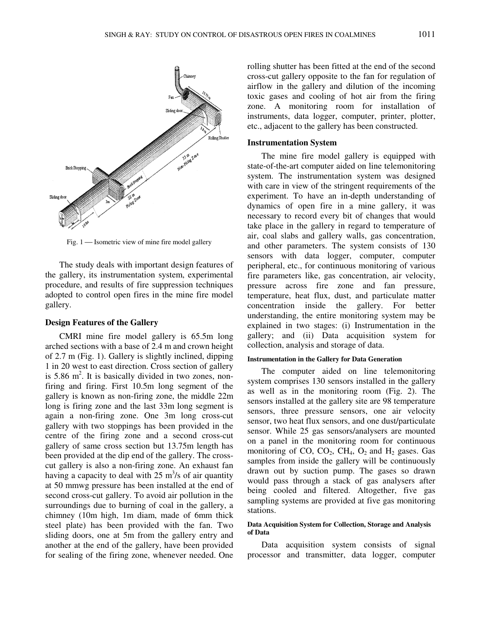

Fig. 1 — Isometric view of mine fire model gallery

The study deals with important design features of the gallery, its instrumentation system, experimental procedure, and results of fire suppression techniques adopted to control open fires in the mine fire model gallery.

#### **Design Features of the Gallery**

CMRI mine fire model gallery is 65.5m long arched sections with a base of 2.4 m and crown height of 2.7 m (Fig. 1). Gallery is slightly inclined, dipping 1 in 20 west to east direction. Cross section of gallery is  $5.86 \text{ m}^2$ . It is basically divided in two zones, nonfiring and firing. First 10.5m long segment of the gallery is known as non-firing zone, the middle 22m long is firing zone and the last 33m long segment is again a non-firing zone. One 3m long cross-cut gallery with two stoppings has been provided in the centre of the firing zone and a second cross-cut gallery of same cross section but 13.75m length has been provided at the dip end of the gallery. The crosscut gallery is also a non-firing zone. An exhaust fan having a capacity to deal with  $25 \text{ m}^3/\text{s}$  of air quantity at 50 mmwg pressure has been installed at the end of second cross-cut gallery. To avoid air pollution in the surroundings due to burning of coal in the gallery, a chimney (10m high, 1m diam, made of 6mm thick steel plate) has been provided with the fan. Two sliding doors, one at 5m from the gallery entry and another at the end of the gallery, have been provided for sealing of the firing zone, whenever needed. One

rolling shutter has been fitted at the end of the second cross-cut gallery opposite to the fan for regulation of airflow in the gallery and dilution of the incoming toxic gases and cooling of hot air from the firing zone. A monitoring room for installation of instruments, data logger, computer, printer, plotter, etc., adjacent to the gallery has been constructed.

# **Instrumentation System**

The mine fire model gallery is equipped with state-of-the-art computer aided on line telemonitoring system. The instrumentation system was designed with care in view of the stringent requirements of the experiment. To have an in-depth understanding of dynamics of open fire in a mine gallery, it was necessary to record every bit of changes that would take place in the gallery in regard to temperature of air, coal slabs and gallery walls, gas concentration, and other parameters. The system consists of 130 sensors with data logger, computer, computer peripheral, etc., for continuous monitoring of various fire parameters like, gas concentration, air velocity, pressure across fire zone and fan pressure, temperature, heat flux, dust, and particulate matter concentration inside the gallery. For better understanding, the entire monitoring system may be explained in two stages: (i) Instrumentation in the gallery; and (ii) Data acquisition system for collection, analysis and storage of data.

#### **Instrumentation in the Gallery for Data Generation**

The computer aided on line telemonitoring system comprises 130 sensors installed in the gallery as well as in the monitoring room (Fig. 2). The sensors installed at the gallery site are 98 temperature sensors, three pressure sensors, one air velocity sensor, two heat flux sensors, and one dust/particulate sensor. While 25 gas sensors/analysers are mounted on a panel in the monitoring room for continuous monitoring of CO,  $CO<sub>2</sub>$ ,  $CH<sub>4</sub>$ ,  $O<sub>2</sub>$  and  $H<sub>2</sub>$  gases. Gas samples from inside the gallery will be continuously drawn out by suction pump. The gases so drawn would pass through a stack of gas analysers after being cooled and filtered. Altogether, five gas sampling systems are provided at five gas monitoring stations.

#### **Data Acquisition System for Collection, Storage and Analysis of Data**

Data acquisition system consists of signal processor and transmitter, data logger, computer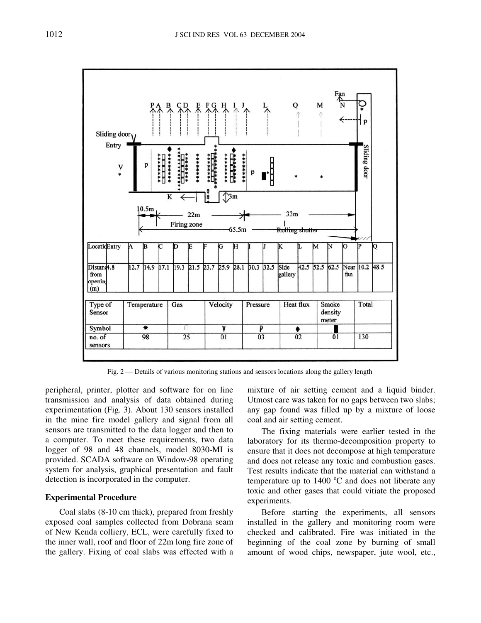

Fig. 2 — Details of various monitoring stations and sensors locations along the gallery length

peripheral, printer, plotter and software for on line transmission and analysis of data obtained during experimentation (Fig. 3). About 130 sensors installed in the mine fire model gallery and signal from all sensors are transmitted to the data logger and then to a computer. To meet these requirements, two data logger of 98 and 48 channels, model 8030-MI is provided. SCADA software on Window-98 operating system for analysis, graphical presentation and fault detection is incorporated in the computer.

# **Experimental Procedure**

Coal slabs (8-10 cm thick), prepared from freshly exposed coal samples collected from Dobrana seam of New Kenda colliery, ECL, were carefully fixed to the inner wall, roof and floor of 22m long fire zone of the gallery. Fixing of coal slabs was effected with a

mixture of air setting cement and a liquid binder. Utmost care was taken for no gaps between two slabs; any gap found was filled up by a mixture of loose coal and air setting cement.

The fixing materials were earlier tested in the laboratory for its thermo-decomposition property to ensure that it does not decompose at high temperature and does not release any toxic and combustion gases. Test results indicate that the material can withstand a temperature up to  $1400^{\circ}$ C and does not liberate any toxic and other gases that could vitiate the proposed experiments.

Before starting the experiments, all sensors installed in the gallery and monitoring room were checked and calibrated. Fire was initiated in the beginning of the coal zone by burning of small amount of wood chips, newspaper, jute wool, etc.,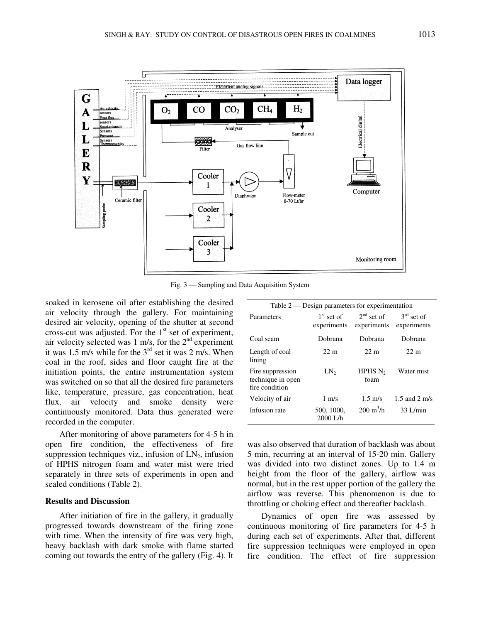

Fig. 3 Sampling and Data Acquisition System

soaked in kerosene oil after establishing the desired air velocity through the gallery. For maintaining desired air velocity, opening of the shutter at second cross-cut was adjusted. For the  $1<sup>st</sup>$  set of experiment, air velocity selected was 1 m/s, for the  $2<sup>nd</sup>$  experiment it was 1.5 m/s while for the  $3<sup>rd</sup>$  set it was 2 m/s. When coal in the roof, sides and floor caught fire at the initiation points, the entire instrumentation system was switched on so that all the desired fire parameters like, temperature, pressure, gas concentration, heat flux, air velocity and smoke density were continuously monitored. Data thus generated were recorded in the computer.

After monitoring of above parameters for 4-5 h in open fire condition, the effectiveness of fire suppression techniques viz., infusion of  $LN_2$ , infusion of HPHS nitrogen foam and water mist were tried separately in three sets of experiments in open and sealed conditions (Table 2).

## **Results and Discussion**

After initiation of fire in the gallery, it gradually progressed towards downstream of the firing zone with time. When the intensity of fire was very high, heavy backlash with dark smoke with flame started coming out towards the entry of the gallery (Fig. 4). It

| Table $2$ — Design parameters for experimentation       |                             |                            |                                         |  |  |  |  |
|---------------------------------------------------------|-----------------------------|----------------------------|-----------------------------------------|--|--|--|--|
| Parameters                                              | $1st$ set of<br>experiments | $2nd$ set of               | $3rd$ set of<br>experiments experiments |  |  |  |  |
| Coal seam                                               | Dobrana                     | Dobrana                    | Dobrana                                 |  |  |  |  |
| Length of coal<br>lining                                | $22 \text{ m}$              | 22 m                       | $22 \text{ m}$                          |  |  |  |  |
| Fire suppression<br>technique in open<br>fire condition | LN <sub>2</sub>             | HPHS $N_2$<br>foam         | Water mist                              |  |  |  |  |
| Velocity of air                                         | $1 \text{ m/s}$             | $1.5 \text{ m/s}$          | 1.5 and 2 m/s                           |  |  |  |  |
| Infusion rate                                           | 500, 1000,<br>$2000$ L/h    | $200 \text{ m}^3/\text{h}$ | $33$ L/min                              |  |  |  |  |

was also observed that duration of backlash was about 5 min, recurring at an interval of 15-20 min. Gallery was divided into two distinct zones. Up to 1.4 m height from the floor of the gallery, airflow was normal, but in the rest upper portion of the gallery the airflow was reverse. This phenomenon is due to throttling or choking effect and thereafter backlash.

Dynamics of open fire was assessed by continuous monitoring of fire parameters for 4-5 h during each set of experiments. After that, different fire suppression techniques were employed in open fire condition. The effect of fire suppression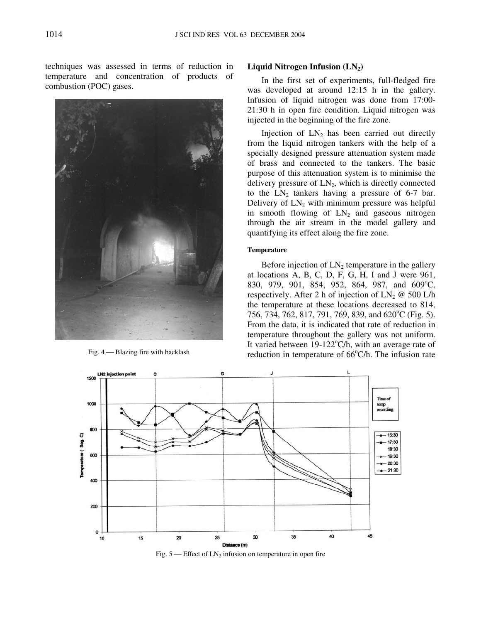techniques was assessed in terms of reduction in temperature and concentration of products of combustion (POC) gases.



#### **Liquid Nitrogen Infusion (LN2)**

In the first set of experiments, full-fledged fire was developed at around 12:15 h in the gallery. Infusion of liquid nitrogen was done from 17:00- 21:30 h in open fire condition. Liquid nitrogen was injected in the beginning of the fire zone.

Injection of  $LN_2$  has been carried out directly from the liquid nitrogen tankers with the help of a specially designed pressure attenuation system made of brass and connected to the tankers. The basic purpose of this attenuation system is to minimise the delivery pressure of  $LN_2$ , which is directly connected to the  $LN_2$  tankers having a pressure of 6-7 bar. Delivery of  $LN_2$  with minimum pressure was helpful in smooth flowing of  $LN_2$  and gaseous nitrogen through the air stream in the model gallery and quantifying its effect along the fire zone.

#### **Temperature**

Before injection of  $LN_2$  temperature in the gallery at locations A, B, C, D, F, G, H, I and J were 961, 830, 979, 901, 854, 952, 864, 987, and 609°C, respectively. After 2 h of injection of  $LN_2 \otimes 500$  L/h the temperature at these locations decreased to 814, 756, 734, 762, 817, 791, 769, 839, and 620°C (Fig. 5). From the data, it is indicated that rate of reduction in temperature throughout the gallery was not uniform. It varied between  $19-122^{\circ}C/h$ , with an average rate of Fig.  $4$ —Blazing fire with backlash reduction in temperature of 66 $\degree$ C/h. The infusion rate



Fig.  $5$  — Effect of  $LN_2$  infusion on temperature in open fire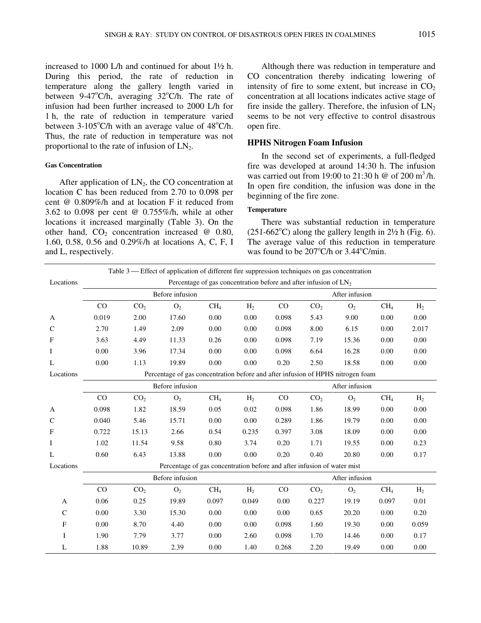increased to 1000 L/h and continued for about 1½ h. During this period, the rate of reduction in temperature along the gallery length varied in between 9-47 $\mathrm{C/h}$ , averaging 32 $\mathrm{C/h}$ . The rate of infusion had been further increased to 2000 L/h for 1 h, the rate of reduction in temperature varied between  $3-105^{\circ}$ C/h with an average value of  $48^{\circ}$ C/h. Thus, the rate of reduction in temperature was not proportional to the rate of infusion of  $LN<sub>2</sub>$ .

## **Gas Concentration**

After application of  $LN<sub>2</sub>$ , the CO concentration at location C has been reduced from 2.70 to 0.098 per cent @ 0.809%/h and at location F it reduced from 3.62 to 0.098 per cent @ 0.755%/h, while at other locations it increased marginally (Table 3). On the other hand,  $CO<sub>2</sub>$  concentration increased @ 0.80, 1.60, 0.58, 0.56 and 0.29%/h at locations A, C, F, I and L, respectively.

Although there was reduction in temperature and CO concentration thereby indicating lowering of intensity of fire to some extent, but increase in  $CO<sub>2</sub>$ concentration at all locations indicates active stage of fire inside the gallery. Therefore, the infusion of  $LN<sub>2</sub>$ seems to be not very effective to control disastrous open fire.

# **HPHS Nitrogen Foam Infusion**

In the second set of experiments, a full-fledged fire was developed at around 14:30 h. The infusion was carried out from 19:00 to 21:30 h  $\omega$  of 200 m<sup>3</sup>/h. In open fire condition, the infusion was done in the beginning of the fire zone.

# **Temperature**

There was substantial reduction in temperature  $(251-662^{\circ}C)$  along the gallery length in  $2\frac{1}{2}$  h (Fig. 6). The average value of this reduction in temperature was found to be  $207^{\circ}$ C/h or  $3.44^{\circ}$ C/min.

| Table $3$ — Effect of application of different fire suppression techniques on gas concentration |                                                                                 |                                                                    |                                                                         |                 |                |       |                 |                |                 |                |  |
|-------------------------------------------------------------------------------------------------|---------------------------------------------------------------------------------|--------------------------------------------------------------------|-------------------------------------------------------------------------|-----------------|----------------|-------|-----------------|----------------|-----------------|----------------|--|
| Locations                                                                                       |                                                                                 | Percentage of gas concentration before and after infusion of $LN2$ |                                                                         |                 |                |       |                 |                |                 |                |  |
|                                                                                                 |                                                                                 | Before infusion                                                    |                                                                         |                 |                |       | After infusion  |                |                 |                |  |
|                                                                                                 | CO                                                                              | CO <sub>2</sub>                                                    | O <sub>2</sub>                                                          | CH <sub>4</sub> | H <sub>2</sub> | CO    | CO <sub>2</sub> | O <sub>2</sub> | CH <sub>4</sub> | H <sub>2</sub> |  |
| A                                                                                               | 0.019                                                                           | 2.00                                                               | 17.60                                                                   | 0.00            | 0.00           | 0.098 | 5.43            | 9.00           | 0.00            | 0.00           |  |
| $\mathsf{C}$                                                                                    | 2.70                                                                            | 1.49                                                               | 2.09                                                                    | 0.00            | 0.00           | 0.098 | 8.00            | 6.15           | 0.00            | 2.017          |  |
| F                                                                                               | 3.63                                                                            | 4.49                                                               | 11.33                                                                   | 0.26            | 0.00           | 0.098 | 7.19            | 15.36          | 0.00            | 0.00           |  |
| I                                                                                               | 0.00                                                                            | 3.96                                                               | 17.34                                                                   | 0.00            | 0.00           | 0.098 | 6.64            | 16.28          | 0.00            | 0.00           |  |
| L                                                                                               | 0.00                                                                            | 1.13                                                               | 19.89                                                                   | 0.00            | 0.00           | 0.20  | 2.50            | 18.58          | 0.00            | 0.00           |  |
| Locations                                                                                       | Percentage of gas concentration before and after infusion of HPHS nitrogen foam |                                                                    |                                                                         |                 |                |       |                 |                |                 |                |  |
|                                                                                                 | Before infusion<br>After infusion                                               |                                                                    |                                                                         |                 |                |       |                 |                |                 |                |  |
|                                                                                                 | CO                                                                              | CO <sub>2</sub>                                                    | O <sub>2</sub>                                                          | CH <sub>4</sub> | H <sub>2</sub> | CO    | CO <sub>2</sub> | O <sub>2</sub> | CH <sub>4</sub> | H <sub>2</sub> |  |
| A                                                                                               | 0.098                                                                           | 1.82                                                               | 18.59                                                                   | 0.05            | 0.02           | 0.098 | 1.86            | 18.99          | 0.00            | 0.00           |  |
| $\mathsf{C}$                                                                                    | 0.040                                                                           | 5.46                                                               | 15.71                                                                   | 0.00            | 0.00           | 0.289 | 1.86            | 19.79          | 0.00            | 0.00           |  |
| $\mathbf{F}$                                                                                    | 0.722                                                                           | 15.13                                                              | 2.66                                                                    | 0.54            | 0.235          | 0.397 | 3.08            | 18.09          | 0.00            | 0.00           |  |
| Ι                                                                                               | 1.02                                                                            | 11.54                                                              | 9.58                                                                    | 0.80            | 3.74           | 0.20  | 1.71            | 19.55          | 0.00            | 0.23           |  |
| L                                                                                               | 0.60                                                                            | 6.43                                                               | 13.88                                                                   | 0.00            | 0.00           | 0.20  | 0.40            | 20.80          | 0.00            | 0.17           |  |
| Locations                                                                                       |                                                                                 |                                                                    | Percentage of gas concentration before and after infusion of water mist |                 |                |       |                 |                |                 |                |  |
|                                                                                                 | Before infusion<br>After infusion                                               |                                                                    |                                                                         |                 |                |       |                 |                |                 |                |  |
|                                                                                                 | CO                                                                              | CO <sub>2</sub>                                                    | O <sub>2</sub>                                                          | CH <sub>4</sub> | H <sub>2</sub> | CO    | CO <sub>2</sub> | O <sub>2</sub> | CH <sub>4</sub> | H <sub>2</sub> |  |
| A                                                                                               | 0.06                                                                            | 0.25                                                               | 19.89                                                                   | 0.097           | 0.049          | 0.00  | 0.227           | 19.19          | 0.097           | 0.01           |  |
| $\mathsf{C}$                                                                                    | 0.00                                                                            | 3.30                                                               | 15.30                                                                   | 0.00            | 0.00           | 0.00  | 0.65            | 20.20          | 0.00            | 0.20           |  |
| F                                                                                               | 0.00                                                                            | 8.70                                                               | 4.40                                                                    | 0.00            | 0.00           | 0.098 | 1.60            | 19.30          | 0.00            | 0.059          |  |
| $\mathbf I$                                                                                     | 1.90                                                                            | 7.79                                                               | 3.77                                                                    | 0.00            | 2.60           | 0.098 | 1.70            | 14.46          | 0.00            | 0.17           |  |
| L                                                                                               | 1.88                                                                            | 10.89                                                              | 2.39                                                                    | $0.00\,$        | 1.40           | 0.268 | 2.20            | 19.49          | 0.00            | 0.00           |  |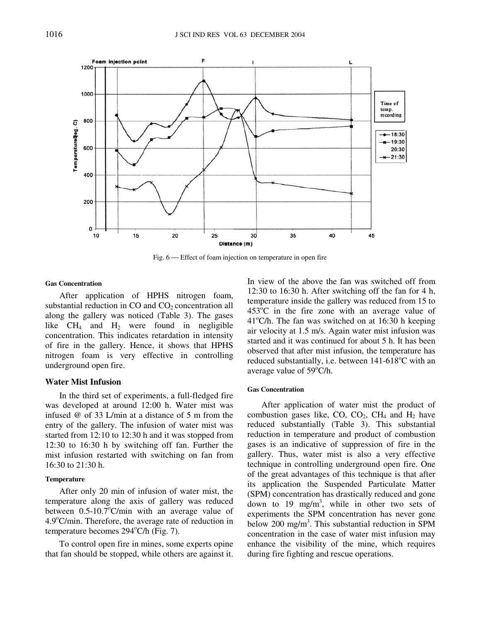

Fig. 6 – Effect of foam injection on temperature in open fire

#### **Gas Concentration**

After application of HPHS nitrogen foam, substantial reduction in  $CO$  and  $CO<sub>2</sub>$  concentration all along the gallery was noticed (Table 3). The gases like  $CH_4$  and  $H_2$  were found in negligible concentration. This indicates retardation in intensity of fire in the gallery. Hence, it shows that HPHS nitrogen foam is very effective in controlling underground open fire.

## **Water Mist Infusion**

In the third set of experiments, a full-fledged fire was developed at around 12:00 h. Water mist was infused @ of 33 L/min at a distance of 5 m from the entry of the gallery. The infusion of water mist was started from 12:10 to 12:30 h and it was stopped from 12:30 to 16:30 h by switching off fan. Further the mist infusion restarted with switching on fan from 16:30 to 21:30 h.

## **Temperature**

After only 20 min of infusion of water mist, the temperature along the axis of gallery was reduced between  $0.5{\text -}10.7^{\circ}$ C/min with an average value of  $4.9^{\circ}$ C/min. Therefore, the average rate of reduction in temperature becomes  $294^{\circ}$ C/h (Fig. 7).

To control open fire in mines, some experts opine that fan should be stopped, while others are against it. In view of the above the fan was switched off from 12:30 to 16:30 h. After switching off the fan for 4 h, temperature inside the gallery was reduced from 15 to  $453^{\circ}$ C in the fire zone with an average value of  $41^{\circ}$ C/h. The fan was switched on at 16:30 h keeping air velocity at 1.5 m/s. Again water mist infusion was started and it was continued for about 5 h. It has been observed that after mist infusion, the temperature has reduced substantially, i.e. between  $141-618^{\circ}$ C with an average value of  $59^{\circ}$ C/h.

#### **Gas Concentration**

After application of water mist the product of combustion gases like, CO,  $CO<sub>2</sub>$ , CH<sub>4</sub> and H<sub>2</sub> have reduced substantially (Table 3). This substantial reduction in temperature and product of combustion gases is an indicative of suppression of fire in the gallery. Thus, water mist is also a very effective technique in controlling underground open fire. One of the great advantages of this technique is that after its application the Suspended Particulate Matter (SPM) concentration has drastically reduced and gone down to 19 mg/m<sup>3</sup>, while in other two sets of experiments the SPM concentration has never gone below 200 mg/m<sup>3</sup>. This substantial reduction in SPM concentration in the case of water mist infusion may enhance the visibility of the mine, which requires during fire fighting and rescue operations.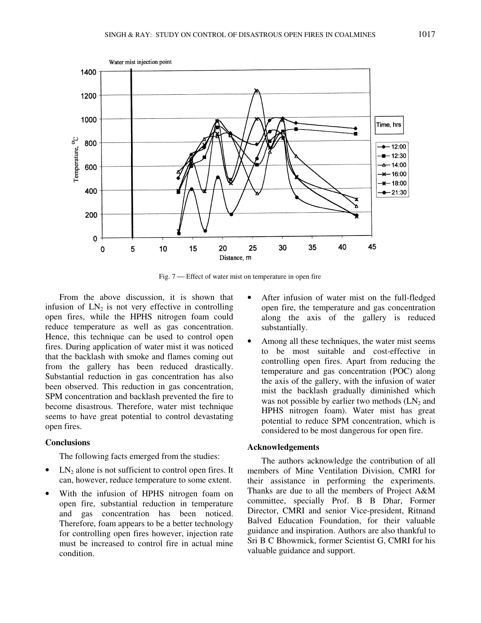

Fig. 7 — Effect of water mist on temperature in open fire

From the above discussion, it is shown that infusion of  $LN_2$  is not very effective in controlling open fires, while the HPHS nitrogen foam could reduce temperature as well as gas concentration. Hence, this technique can be used to control open fires. During application of water mist it was noticed that the backlash with smoke and flames coming out from the gallery has been reduced drastically. Substantial reduction in gas concentration has also been observed. This reduction in gas concentration, SPM concentration and backlash prevented the fire to become disastrous. Therefore, water mist technique seems to have great potential to control devastating open fires.

# **Conclusions**

The following facts emerged from the studies:

- LN<sub>2</sub> alone is not sufficient to control open fires. It can, however, reduce temperature to some extent.
- With the infusion of HPHS nitrogen foam on open fire, substantial reduction in temperature and gas concentration has been noticed. Therefore, foam appears to be a better technology for controlling open fires however, injection rate must be increased to control fire in actual mine condition.
- After infusion of water mist on the full-fledged open fire, the temperature and gas concentration along the axis of the gallery is reduced substantially.
- Among all these techniques, the water mist seems to be most suitable and cost-effective in controlling open fires. Apart from reducing the temperature and gas concentration (POC) along the axis of the gallery, with the infusion of water mist the backlash gradually diminished which was not possible by earlier two methods  $(LN_2$  and HPHS nitrogen foam). Water mist has great potential to reduce SPM concentration, which is considered to be most dangerous for open fire.

# **Acknowledgements**

The authors acknowledge the contribution of all members of Mine Ventilation Division, CMRI for their assistance in performing the experiments. Thanks are due to all the members of Project A&M committee, specially Prof. B B Dhar, Former Director, CMRI and senior Vice-president, Ritnand Balved Education Foundation, for their valuable guidance and inspiration. Authors are also thankful to Sri B C Bhowmick, former Scientist G, CMRI for his valuable guidance and support.